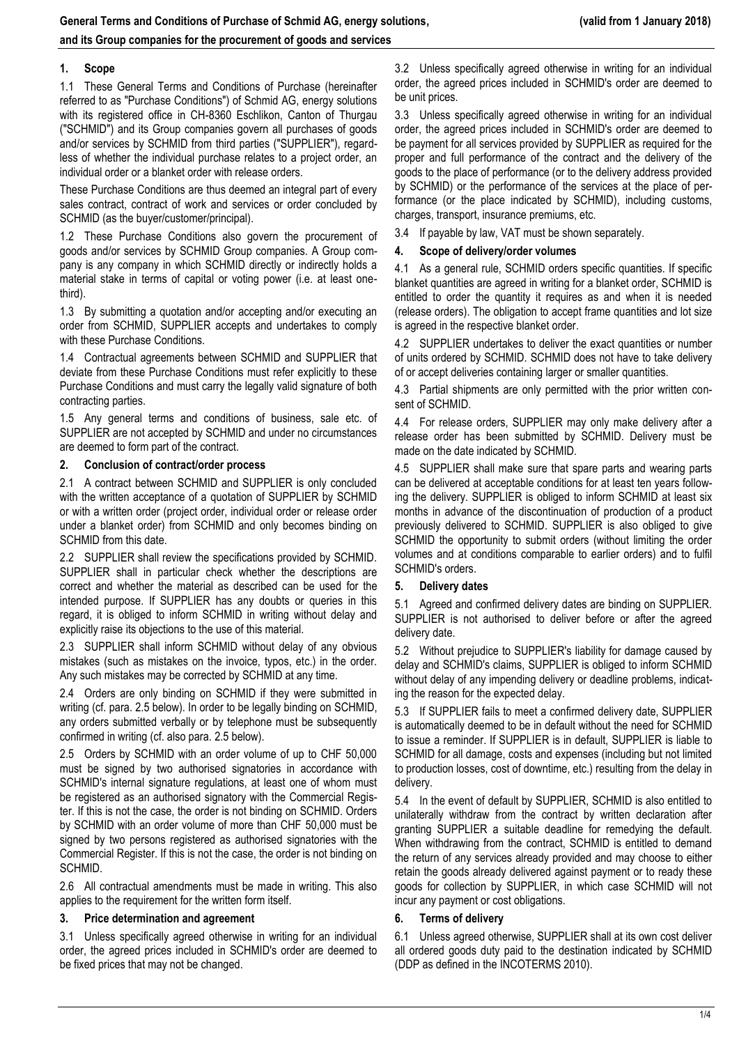# **1. Scope**

1.1 These General Terms and Conditions of Purchase (hereinafter referred to as "Purchase Conditions") of Schmid AG, energy solutions with its registered office in CH-8360 Eschlikon, Canton of Thurgau ("SCHMID") and its Group companies govern all purchases of goods and/or services by SCHMID from third parties ("SUPPLIER"), regardless of whether the individual purchase relates to a project order, an individual order or a blanket order with release orders.

These Purchase Conditions are thus deemed an integral part of every sales contract, contract of work and services or order concluded by SCHMID (as the buyer/customer/principal).

1.2 These Purchase Conditions also govern the procurement of goods and/or services by SCHMID Group companies. A Group company is any company in which SCHMID directly or indirectly holds a material stake in terms of capital or voting power (i.e. at least onethird).

1.3 By submitting a quotation and/or accepting and/or executing an order from SCHMID, SUPPLIER accepts and undertakes to comply with these Purchase Conditions.

1.4 Contractual agreements between SCHMID and SUPPLIER that deviate from these Purchase Conditions must refer explicitly to these Purchase Conditions and must carry the legally valid signature of both contracting parties.

1.5 Any general terms and conditions of business, sale etc. of SUPPLIER are not accepted by SCHMID and under no circumstances are deemed to form part of the contract.

# **2. Conclusion of contract/order process**

2.1 A contract between SCHMID and SUPPLIER is only concluded with the written acceptance of a quotation of SUPPLIER by SCHMID or with a written order (project order, individual order or release order under a blanket order) from SCHMID and only becomes binding on SCHMID from this date.

2.2 SUPPLIER shall review the specifications provided by SCHMID. SUPPLIER shall in particular check whether the descriptions are correct and whether the material as described can be used for the intended purpose. If SUPPLIER has any doubts or queries in this regard, it is obliged to inform SCHMID in writing without delay and explicitly raise its objections to the use of this material.

2.3 SUPPLIER shall inform SCHMID without delay of any obvious mistakes (such as mistakes on the invoice, typos, etc.) in the order. Any such mistakes may be corrected by SCHMID at any time.

2.4 Orders are only binding on SCHMID if they were submitted in writing (cf. para. 2.5 below). In order to be legally binding on SCHMID, any orders submitted verbally or by telephone must be subsequently confirmed in writing (cf. also para. 2.5 below).

2.5 Orders by SCHMID with an order volume of up to CHF 50,000 must be signed by two authorised signatories in accordance with SCHMID's internal signature regulations, at least one of whom must be registered as an authorised signatory with the Commercial Register. If this is not the case, the order is not binding on SCHMID. Orders by SCHMID with an order volume of more than CHF 50,000 must be signed by two persons registered as authorised signatories with the Commercial Register. If this is not the case, the order is not binding on SCHMID.

2.6 All contractual amendments must be made in writing. This also applies to the requirement for the written form itself.

### **3. Price determination and agreement**

3.1 Unless specifically agreed otherwise in writing for an individual order, the agreed prices included in SCHMID's order are deemed to be fixed prices that may not be changed.

3.2 Unless specifically agreed otherwise in writing for an individual order, the agreed prices included in SCHMID's order are deemed to be unit prices.

3.3 Unless specifically agreed otherwise in writing for an individual order, the agreed prices included in SCHMID's order are deemed to be payment for all services provided by SUPPLIER as required for the proper and full performance of the contract and the delivery of the goods to the place of performance (or to the delivery address provided by SCHMID) or the performance of the services at the place of performance (or the place indicated by SCHMID), including customs, charges, transport, insurance premiums, etc.

3.4 If payable by law, VAT must be shown separately.

## **4. Scope of delivery/order volumes**

4.1 As a general rule, SCHMID orders specific quantities. If specific blanket quantities are agreed in writing for a blanket order, SCHMID is entitled to order the quantity it requires as and when it is needed (release orders). The obligation to accept frame quantities and lot size is agreed in the respective blanket order.

4.2 SUPPLIER undertakes to deliver the exact quantities or number of units ordered by SCHMID. SCHMID does not have to take delivery of or accept deliveries containing larger or smaller quantities.

4.3 Partial shipments are only permitted with the prior written consent of SCHMID.

4.4 For release orders, SUPPLIER may only make delivery after a release order has been submitted by SCHMID. Delivery must be made on the date indicated by SCHMID.

4.5 SUPPLIER shall make sure that spare parts and wearing parts can be delivered at acceptable conditions for at least ten years following the delivery. SUPPLIER is obliged to inform SCHMID at least six months in advance of the discontinuation of production of a product previously delivered to SCHMID. SUPPLIER is also obliged to give SCHMID the opportunity to submit orders (without limiting the order volumes and at conditions comparable to earlier orders) and to fulfil SCHMID's orders.

### **5. Delivery dates**

5.1 Agreed and confirmed delivery dates are binding on SUPPLIER. SUPPLIER is not authorised to deliver before or after the agreed delivery date.

5.2 Without prejudice to SUPPLIER's liability for damage caused by delay and SCHMID's claims, SUPPLIER is obliged to inform SCHMID without delay of any impending delivery or deadline problems, indicating the reason for the expected delay.

5.3 If SUPPLIER fails to meet a confirmed delivery date, SUPPLIER is automatically deemed to be in default without the need for SCHMID to issue a reminder. If SUPPLIER is in default, SUPPLIER is liable to SCHMID for all damage, costs and expenses (including but not limited to production losses, cost of downtime, etc.) resulting from the delay in delivery.

5.4 In the event of default by SUPPLIER, SCHMID is also entitled to unilaterally withdraw from the contract by written declaration after granting SUPPLIER a suitable deadline for remedying the default. When withdrawing from the contract, SCHMID is entitled to demand the return of any services already provided and may choose to either retain the goods already delivered against payment or to ready these goods for collection by SUPPLIER, in which case SCHMID will not incur any payment or cost obligations.

# **6. Terms of delivery**

6.1 Unless agreed otherwise, SUPPLIER shall at its own cost deliver all ordered goods duty paid to the destination indicated by SCHMID (DDP as defined in the INCOTERMS 2010).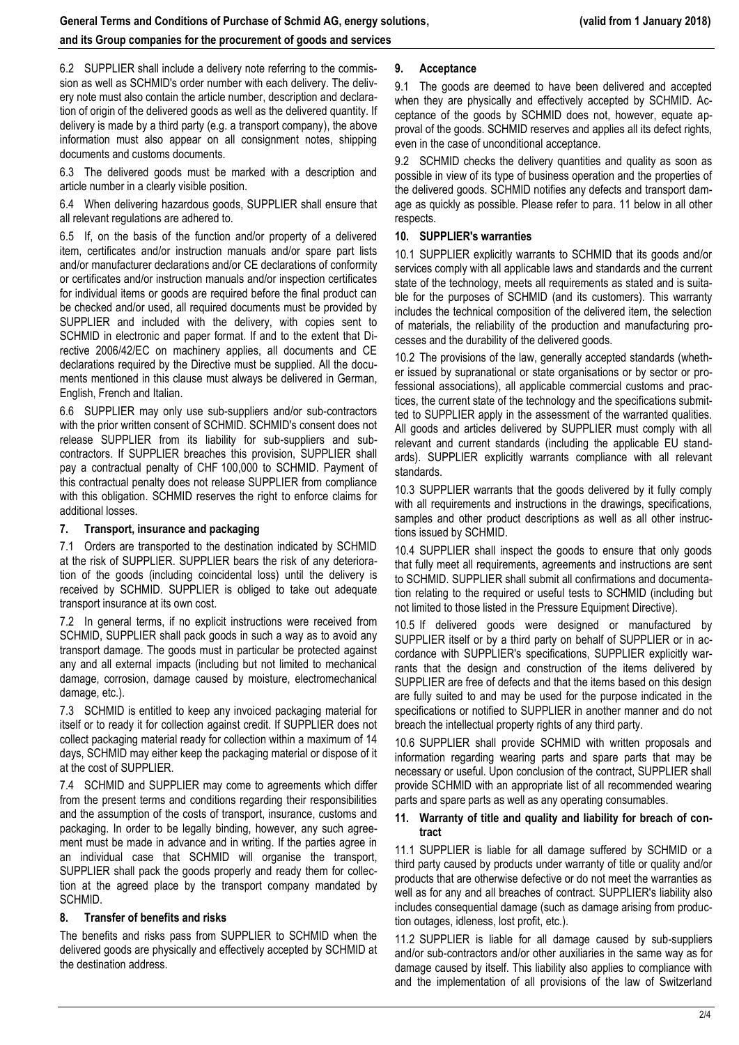# **and its Group companies for the procurement of goods and services**

6.2 SUPPLIER shall include a delivery note referring to the commission as well as SCHMID's order number with each delivery. The delivery note must also contain the article number, description and declaration of origin of the delivered goods as well as the delivered quantity. If delivery is made by a third party (e.g. a transport company), the above information must also appear on all consignment notes, shipping documents and customs documents.

6.3 The delivered goods must be marked with a description and article number in a clearly visible position.

6.4 When delivering hazardous goods, SUPPLIER shall ensure that all relevant regulations are adhered to.

6.5 If, on the basis of the function and/or property of a delivered item, certificates and/or instruction manuals and/or spare part lists and/or manufacturer declarations and/or CE declarations of conformity or certificates and/or instruction manuals and/or inspection certificates for individual items or goods are required before the final product can be checked and/or used, all required documents must be provided by SUPPLIER and included with the delivery, with copies sent to SCHMID in electronic and paper format. If and to the extent that Directive 2006/42/EC on machinery applies, all documents and CE declarations required by the Directive must be supplied. All the documents mentioned in this clause must always be delivered in German, English, French and Italian.

6.6 SUPPLIER may only use sub-suppliers and/or sub-contractors with the prior written consent of SCHMID. SCHMID's consent does not release SUPPLIER from its liability for sub-suppliers and subcontractors. If SUPPLIER breaches this provision, SUPPLIER shall pay a contractual penalty of CHF 100,000 to SCHMID. Payment of this contractual penalty does not release SUPPLIER from compliance with this obligation. SCHMID reserves the right to enforce claims for additional losses.

# **7. Transport, insurance and packaging**

7.1 Orders are transported to the destination indicated by SCHMID at the risk of SUPPLIER. SUPPLIER bears the risk of any deterioration of the goods (including coincidental loss) until the delivery is received by SCHMID. SUPPLIER is obliged to take out adequate transport insurance at its own cost.

7.2 In general terms, if no explicit instructions were received from SCHMID, SUPPLIER shall pack goods in such a way as to avoid any transport damage. The goods must in particular be protected against any and all external impacts (including but not limited to mechanical damage, corrosion, damage caused by moisture, electromechanical damage, etc.).

7.3 SCHMID is entitled to keep any invoiced packaging material for itself or to ready it for collection against credit. If SUPPLIER does not collect packaging material ready for collection within a maximum of 14 days, SCHMID may either keep the packaging material or dispose of it at the cost of SUPPLIER.

7.4 SCHMID and SUPPLIER may come to agreements which differ from the present terms and conditions regarding their responsibilities and the assumption of the costs of transport, insurance, customs and packaging. In order to be legally binding, however, any such agreement must be made in advance and in writing. If the parties agree in an individual case that SCHMID will organise the transport, SUPPLIER shall pack the goods properly and ready them for collection at the agreed place by the transport company mandated by SCHMID.

### **8. Transfer of benefits and risks**

The benefits and risks pass from SUPPLIER to SCHMID when the delivered goods are physically and effectively accepted by SCHMID at the destination address.

# **9. Acceptance**

9.1 The goods are deemed to have been delivered and accepted when they are physically and effectively accepted by SCHMID. Acceptance of the goods by SCHMID does not, however, equate approval of the goods. SCHMID reserves and applies all its defect rights, even in the case of unconditional acceptance.

9.2 SCHMID checks the delivery quantities and quality as soon as possible in view of its type of business operation and the properties of the delivered goods. SCHMID notifies any defects and transport damage as quickly as possible. Please refer to para. 11 below in all other respects.

# **10. SUPPLIER's warranties**

10.1 SUPPLIER explicitly warrants to SCHMID that its goods and/or services comply with all applicable laws and standards and the current state of the technology, meets all requirements as stated and is suitable for the purposes of SCHMID (and its customers). This warranty includes the technical composition of the delivered item, the selection of materials, the reliability of the production and manufacturing processes and the durability of the delivered goods.

10.2 The provisions of the law, generally accepted standards (whether issued by supranational or state organisations or by sector or professional associations), all applicable commercial customs and practices, the current state of the technology and the specifications submitted to SUPPLIER apply in the assessment of the warranted qualities. All goods and articles delivered by SUPPLIER must comply with all relevant and current standards (including the applicable EU standards). SUPPLIER explicitly warrants compliance with all relevant standards.

10.3 SUPPLIER warrants that the goods delivered by it fully comply with all requirements and instructions in the drawings, specifications, samples and other product descriptions as well as all other instructions issued by SCHMID.

10.4 SUPPLIER shall inspect the goods to ensure that only goods that fully meet all requirements, agreements and instructions are sent to SCHMID. SUPPLIER shall submit all confirmations and documentation relating to the required or useful tests to SCHMID (including but not limited to those listed in the Pressure Equipment Directive).

10.5 If delivered goods were designed or manufactured by SUPPLIER itself or by a third party on behalf of SUPPLIER or in accordance with SUPPLIER's specifications, SUPPLIER explicitly warrants that the design and construction of the items delivered by SUPPLIER are free of defects and that the items based on this design are fully suited to and may be used for the purpose indicated in the specifications or notified to SUPPLIER in another manner and do not breach the intellectual property rights of any third party.

10.6 SUPPLIER shall provide SCHMID with written proposals and information regarding wearing parts and spare parts that may be necessary or useful. Upon conclusion of the contract, SUPPLIER shall provide SCHMID with an appropriate list of all recommended wearing parts and spare parts as well as any operating consumables.

# **11. Warranty of title and quality and liability for breach of contract**

11.1 SUPPLIER is liable for all damage suffered by SCHMID or a third party caused by products under warranty of title or quality and/or products that are otherwise defective or do not meet the warranties as well as for any and all breaches of contract. SUPPLIER's liability also includes consequential damage (such as damage arising from production outages, idleness, lost profit, etc.).

11.2 SUPPLIER is liable for all damage caused by sub-suppliers and/or sub-contractors and/or other auxiliaries in the same way as for damage caused by itself. This liability also applies to compliance with and the implementation of all provisions of the law of Switzerland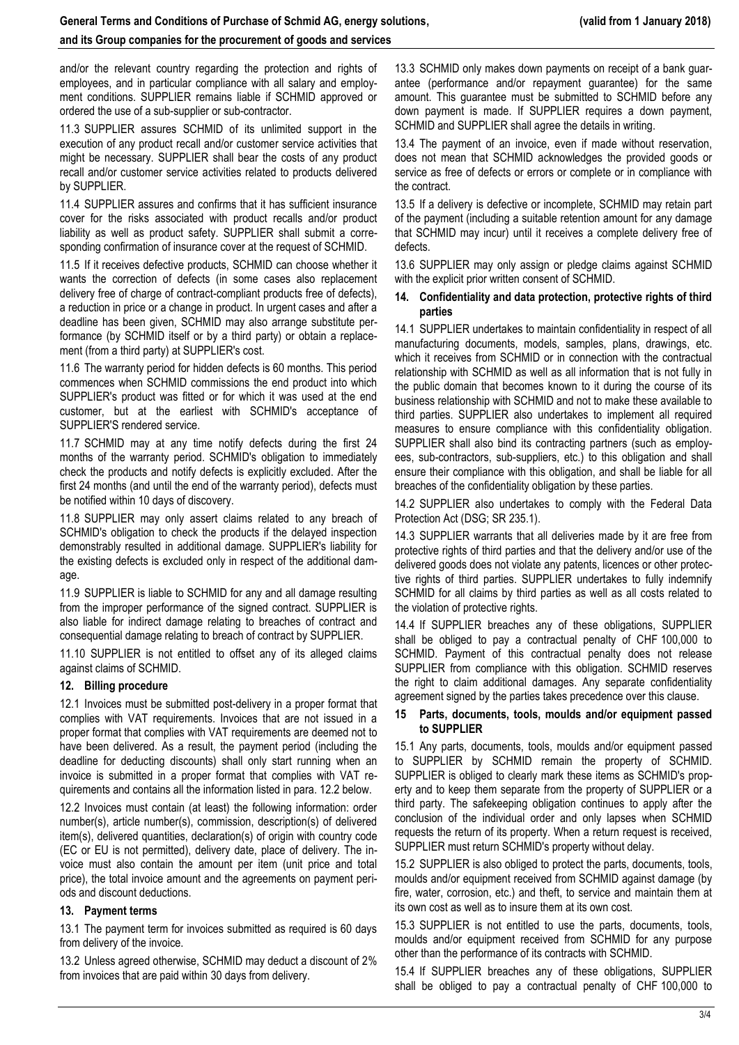### **and its Group companies for the procurement of goods and services**

and/or the relevant country regarding the protection and rights of employees, and in particular compliance with all salary and employment conditions. SUPPLIER remains liable if SCHMID approved or ordered the use of a sub-supplier or sub-contractor.

11.3 SUPPLIER assures SCHMID of its unlimited support in the execution of any product recall and/or customer service activities that might be necessary. SUPPLIER shall bear the costs of any product recall and/or customer service activities related to products delivered by SUPPLIER.

11.4 SUPPLIER assures and confirms that it has sufficient insurance cover for the risks associated with product recalls and/or product liability as well as product safety. SUPPLIER shall submit a corresponding confirmation of insurance cover at the request of SCHMID.

11.5 If it receives defective products, SCHMID can choose whether it wants the correction of defects (in some cases also replacement delivery free of charge of contract-compliant products free of defects), a reduction in price or a change in product. In urgent cases and after a deadline has been given, SCHMID may also arrange substitute performance (by SCHMID itself or by a third party) or obtain a replacement (from a third party) at SUPPLIER's cost.

11.6 The warranty period for hidden defects is 60 months. This period commences when SCHMID commissions the end product into which SUPPLIER's product was fitted or for which it was used at the end customer, but at the earliest with SCHMID's acceptance of SUPPLIER'S rendered service.

11.7 SCHMID may at any time notify defects during the first 24 months of the warranty period. SCHMID's obligation to immediately check the products and notify defects is explicitly excluded. After the first 24 months (and until the end of the warranty period), defects must be notified within 10 days of discovery.

11.8 SUPPLIER may only assert claims related to any breach of SCHMID's obligation to check the products if the delayed inspection demonstrably resulted in additional damage. SUPPLIER's liability for the existing defects is excluded only in respect of the additional damage.

11.9 SUPPLIER is liable to SCHMID for any and all damage resulting from the improper performance of the signed contract. SUPPLIER is also liable for indirect damage relating to breaches of contract and consequential damage relating to breach of contract by SUPPLIER.

11.10 SUPPLIER is not entitled to offset any of its alleged claims against claims of SCHMID.

### **12. Billing procedure**

12.1 Invoices must be submitted post-delivery in a proper format that complies with VAT requirements. Invoices that are not issued in a proper format that complies with VAT requirements are deemed not to have been delivered. As a result, the payment period (including the deadline for deducting discounts) shall only start running when an invoice is submitted in a proper format that complies with VAT requirements and contains all the information listed in para. 12.2 below.

12.2 Invoices must contain (at least) the following information: order number(s), article number(s), commission, description(s) of delivered item(s), delivered quantities, declaration(s) of origin with country code (EC or EU is not permitted), delivery date, place of delivery. The invoice must also contain the amount per item (unit price and total price), the total invoice amount and the agreements on payment periods and discount deductions.

#### **13. Payment terms**

13.1 The payment term for invoices submitted as required is 60 days from delivery of the invoice.

13.2 Unless agreed otherwise, SCHMID may deduct a discount of 2% from invoices that are paid within 30 days from delivery.

13.3 SCHMID only makes down payments on receipt of a bank guarantee (performance and/or repayment guarantee) for the same amount. This guarantee must be submitted to SCHMID before any down payment is made. If SUPPLIER requires a down payment, SCHMID and SUPPLIER shall agree the details in writing.

13.4 The payment of an invoice, even if made without reservation, does not mean that SCHMID acknowledges the provided goods or service as free of defects or errors or complete or in compliance with the contract.

13.5 If a delivery is defective or incomplete, SCHMID may retain part of the payment (including a suitable retention amount for any damage that SCHMID may incur) until it receives a complete delivery free of defects.

13.6 SUPPLIER may only assign or pledge claims against SCHMID with the explicit prior written consent of SCHMID.

#### **14. Confidentiality and data protection, protective rights of third parties**

14.1 SUPPLIER undertakes to maintain confidentiality in respect of all manufacturing documents, models, samples, plans, drawings, etc. which it receives from SCHMID or in connection with the contractual relationship with SCHMID as well as all information that is not fully in the public domain that becomes known to it during the course of its business relationship with SCHMID and not to make these available to third parties. SUPPLIER also undertakes to implement all required measures to ensure compliance with this confidentiality obligation. SUPPLIER shall also bind its contracting partners (such as employees, sub-contractors, sub-suppliers, etc.) to this obligation and shall ensure their compliance with this obligation, and shall be liable for all breaches of the confidentiality obligation by these parties.

14.2 SUPPLIER also undertakes to comply with the Federal Data Protection Act (DSG; SR 235.1).

14.3 SUPPLIER warrants that all deliveries made by it are free from protective rights of third parties and that the delivery and/or use of the delivered goods does not violate any patents, licences or other protective rights of third parties. SUPPLIER undertakes to fully indemnify SCHMID for all claims by third parties as well as all costs related to the violation of protective rights.

14.4 If SUPPLIER breaches any of these obligations, SUPPLIER shall be obliged to pay a contractual penalty of CHF 100,000 to SCHMID. Payment of this contractual penalty does not release SUPPLIER from compliance with this obligation. SCHMID reserves the right to claim additional damages. Any separate confidentiality agreement signed by the parties takes precedence over this clause.

#### **15 Parts, documents, tools, moulds and/or equipment passed to SUPPLIER**

15.1 Any parts, documents, tools, moulds and/or equipment passed to SUPPLIER by SCHMID remain the property of SCHMID. SUPPLIER is obliged to clearly mark these items as SCHMID's property and to keep them separate from the property of SUPPLIER or a third party. The safekeeping obligation continues to apply after the conclusion of the individual order and only lapses when SCHMID requests the return of its property. When a return request is received, SUPPLIER must return SCHMID's property without delay.

15.2 SUPPLIER is also obliged to protect the parts, documents, tools, moulds and/or equipment received from SCHMID against damage (by fire, water, corrosion, etc.) and theft, to service and maintain them at its own cost as well as to insure them at its own cost.

15.3 SUPPLIER is not entitled to use the parts, documents, tools, moulds and/or equipment received from SCHMID for any purpose other than the performance of its contracts with SCHMID.

15.4 If SUPPLIER breaches any of these obligations, SUPPLIER shall be obliged to pay a contractual penalty of CHF 100,000 to